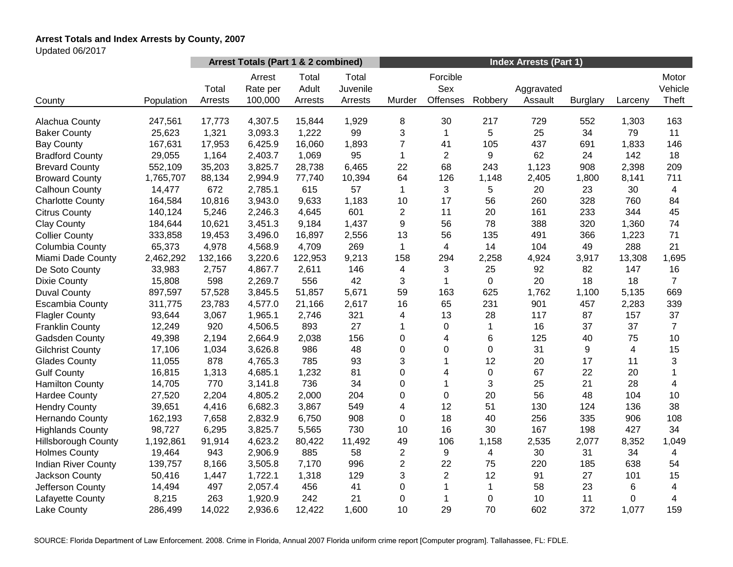# **Arrest Totals and Index Arrests by County, 2007**

Updated 06/2017

|                            |            | Arrest Totals (Part 1 & 2 combined) |                               |                           |                              | <b>Index Arrests (Part 1)</b> |                             |              |                       |                 |         |                           |
|----------------------------|------------|-------------------------------------|-------------------------------|---------------------------|------------------------------|-------------------------------|-----------------------------|--------------|-----------------------|-----------------|---------|---------------------------|
| County                     | Population | Total<br>Arrests                    | Arrest<br>Rate per<br>100,000 | Total<br>Adult<br>Arrests | Total<br>Juvenile<br>Arrests | Murder                        | Forcible<br>Sex<br>Offenses | Robbery      | Aggravated<br>Assault | <b>Burglary</b> | Larceny | Motor<br>Vehicle<br>Theft |
| Alachua County             | 247,561    | 17,773                              | 4,307.5                       | 15,844                    | 1,929                        | 8                             | 30                          | 217          | 729                   | 552             | 1,303   | 163                       |
| <b>Baker County</b>        | 25,623     | 1,321                               | 3,093.3                       | 1,222                     | 99                           | 3                             | $\mathbf{1}$                | 5            | 25                    | 34              | 79      | 11                        |
| <b>Bay County</b>          | 167,631    | 17,953                              | 6,425.9                       | 16,060                    | 1,893                        | $\overline{7}$                | 41                          | 105          | 437                   | 691             | 1,833   | 146                       |
| <b>Bradford County</b>     | 29,055     | 1,164                               | 2,403.7                       | 1,069                     | 95                           | 1                             | $\overline{2}$              | 9            | 62                    | 24              | 142     | 18                        |
| <b>Brevard County</b>      | 552,109    | 35,203                              | 3,825.7                       | 28,738                    | 6,465                        | 22                            | 68                          | 243          | 1,123                 | 908             | 2,398   | 209                       |
| <b>Broward County</b>      | 1,765,707  | 88,134                              | 2,994.9                       | 77,740                    | 10,394                       | 64                            | 126                         | 1,148        | 2,405                 | 1,800           | 8,141   | 711                       |
| Calhoun County             | 14,477     | 672                                 | 2,785.1                       | 615                       | 57                           | $\mathbf{1}$                  | 3                           | 5            | 20                    | 23              | 30      | 4                         |
| <b>Charlotte County</b>    | 164,584    | 10,816                              | 3,943.0                       | 9,633                     | 1,183                        | 10                            | 17                          | 56           | 260                   | 328             | 760     | 84                        |
| <b>Citrus County</b>       | 140,124    | 5,246                               | 2,246.3                       | 4,645                     | 601                          | $\overline{c}$                | 11                          | 20           | 161                   | 233             | 344     | 45                        |
| <b>Clay County</b>         | 184,644    | 10,621                              | 3,451.3                       | 9,184                     | 1,437                        | 9                             | 56                          | 78           | 388                   | 320             | 1,360   | 74                        |
| <b>Collier County</b>      | 333,858    | 19,453                              | 3,496.0                       | 16,897                    | 2,556                        | 13                            | 56                          | 135          | 491                   | 366             | 1,223   | 71                        |
| Columbia County            | 65,373     | 4,978                               | 4,568.9                       | 4,709                     | 269                          | $\mathbf{1}$                  | $\overline{4}$              | 14           | 104                   | 49              | 288     | 21                        |
| Miami Dade County          | 2,462,292  | 132,166                             | 3,220.6                       | 122,953                   | 9,213                        | 158                           | 294                         | 2,258        | 4,924                 | 3,917           | 13,308  | 1,695                     |
| De Soto County             | 33,983     | 2,757                               | 4,867.7                       | 2,611                     | 146                          | 4                             | 3                           | 25           | 92                    | 82              | 147     | 16                        |
| <b>Dixie County</b>        | 15,808     | 598                                 | 2,269.7                       | 556                       | 42                           | 3                             | 1                           | 0            | 20                    | 18              | 18      | $\overline{7}$            |
| <b>Duval County</b>        | 897,597    | 57,528                              | 3,845.5                       | 51,857                    | 5,671                        | 59                            | 163                         | 625          | 1,762                 | 1,100           | 5,135   | 669                       |
| <b>Escambia County</b>     | 311,775    | 23,783                              | 4,577.0                       | 21,166                    | 2,617                        | 16                            | 65                          | 231          | 901                   | 457             | 2,283   | 339                       |
| <b>Flagler County</b>      | 93,644     | 3,067                               | 1,965.1                       | 2,746                     | 321                          | 4                             | 13                          | 28           | 117                   | 87              | 157     | 37                        |
| <b>Franklin County</b>     | 12,249     | 920                                 | 4,506.5                       | 893                       | 27                           | 1                             | 0                           | $\mathbf 1$  | 16                    | 37              | 37      | $\overline{7}$            |
| Gadsden County             | 49,398     | 2,194                               | 2,664.9                       | 2,038                     | 156                          | 0                             | 4                           | 6            | 125                   | 40              | 75      | 10                        |
| <b>Gilchrist County</b>    | 17,106     | 1,034                               | 3,626.8                       | 986                       | 48                           | 0                             | 0                           | 0            | 31                    | 9               | 4       | 15                        |
| <b>Glades County</b>       | 11,055     | 878                                 | 4,765.3                       | 785                       | 93                           | 3                             |                             | 12           | 20                    | 17              | 11      | 3                         |
| <b>Gulf County</b>         | 16,815     | 1,313                               | 4,685.1                       | 1,232                     | 81                           | 0                             | 4                           | $\pmb{0}$    | 67                    | 22              | 20      | $\mathbf{1}$              |
| <b>Hamilton County</b>     | 14,705     | 770                                 | 3,141.8                       | 736                       | 34                           | 0                             | 1                           | 3            | 25                    | 21              | 28      | $\overline{4}$            |
| <b>Hardee County</b>       | 27,520     | 2,204                               | 4,805.2                       | 2,000                     | 204                          | 0                             | $\mathbf 0$                 | 20           | 56                    | 48              | 104     | 10                        |
| <b>Hendry County</b>       | 39,651     | 4,416                               | 6,682.3                       | 3,867                     | 549                          | 4                             | 12                          | 51           | 130                   | 124             | 136     | 38                        |
| Hernando County            | 162,193    | 7,658                               | 2,832.9                       | 6,750                     | 908                          | 0                             | 18                          | 40           | 256                   | 335             | 906     | 108                       |
| <b>Highlands County</b>    | 98,727     | 6,295                               | 3,825.7                       | 5,565                     | 730                          | 10                            | 16                          | 30           | 167                   | 198             | 427     | 34                        |
| <b>Hillsborough County</b> | 1,192,861  | 91,914                              | 4,623.2                       | 80,422                    | 11,492                       | 49                            | 106                         | 1,158        | 2,535                 | 2,077           | 8,352   | 1,049                     |
| <b>Holmes County</b>       | 19,464     | 943                                 | 2,906.9                       | 885                       | 58                           | $\overline{2}$                | 9                           | 4            | 30                    | 31              | 34      | $\overline{4}$            |
| <b>Indian River County</b> | 139,757    | 8,166                               | 3,505.8                       | 7,170                     | 996                          | $\overline{c}$                | 22                          | 75           | 220                   | 185             | 638     | 54                        |
| Jackson County             | 50,416     | 1,447                               | 1,722.1                       | 1,318                     | 129                          | 3                             | $\overline{2}$              | 12           | 91                    | 27              | 101     | 15                        |
| Jefferson County           | 14,494     | 497                                 | 2,057.4                       | 456                       | 41                           | 0                             | 1                           | $\mathbf{1}$ | 58                    | 23              | 6       | 4                         |
| Lafayette County           | 8,215      | 263                                 | 1,920.9                       | 242                       | 21                           | 0                             |                             | 0            | 10                    | 11              | 0       | 4                         |
| Lake County                | 286,499    | 14,022                              | 2,936.6                       | 12,422                    | 1,600                        | 10                            | 29                          | 70           | 602                   | 372             | 1,077   | 159                       |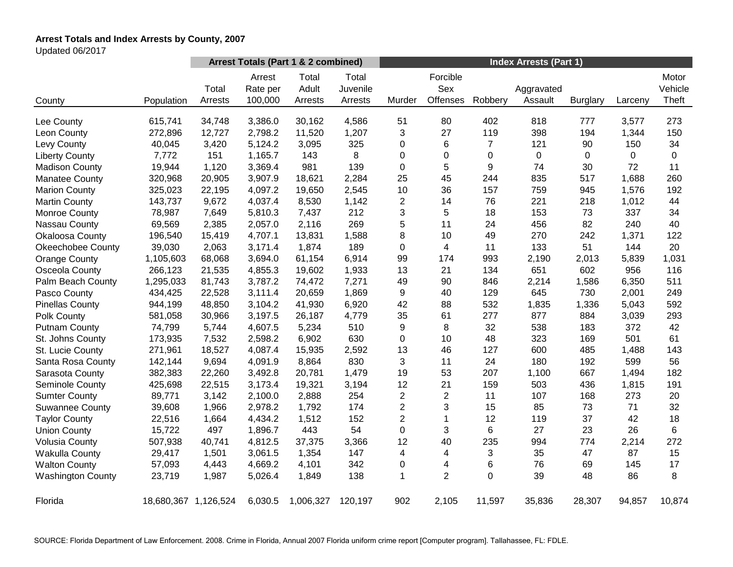# **Arrest Totals and Index Arrests by County, 2007**

Updated 06/2017

|                          |                      | Arrest Totals (Part 1 & 2 combined) |                               |                           |                              | <b>Index Arrests (Part 1)</b> |                             |                |                       |                 |         |                           |
|--------------------------|----------------------|-------------------------------------|-------------------------------|---------------------------|------------------------------|-------------------------------|-----------------------------|----------------|-----------------------|-----------------|---------|---------------------------|
| County                   | Population           | Total<br>Arrests                    | Arrest<br>Rate per<br>100,000 | Total<br>Adult<br>Arrests | Total<br>Juvenile<br>Arrests | Murder                        | Forcible<br>Sex<br>Offenses | Robbery        | Aggravated<br>Assault | <b>Burglary</b> | Larceny | Motor<br>Vehicle<br>Theft |
| Lee County               | 615,741              | 34,748                              | 3,386.0                       | 30,162                    | 4,586                        | 51                            | 80                          | 402            | 818                   | 777             | 3,577   | 273                       |
| Leon County              | 272,896              | 12,727                              | 2,798.2                       | 11,520                    | 1,207                        | 3                             | 27                          | 119            | 398                   | 194             | 1,344   | 150                       |
| Levy County              | 40,045               | 3,420                               | 5,124.2                       | 3,095                     | 325                          | 0                             | 6                           | $\overline{7}$ | 121                   | 90              | 150     | 34                        |
| <b>Liberty County</b>    | 7,772                | 151                                 | 1,165.7                       | 143                       | 8                            | 0                             | 0                           | 0              | $\mathbf 0$           | $\Omega$        | 0       | $\Omega$                  |
| <b>Madison County</b>    | 19,944               | 1,120                               | 3,369.4                       | 981                       | 139                          | 0                             | 5                           | 9              | 74                    | 30              | 72      | 11                        |
| <b>Manatee County</b>    | 320,968              | 20,905                              | 3,907.9                       | 18,621                    | 2,284                        | 25                            | 45                          | 244            | 835                   | 517             | 1,688   | 260                       |
| <b>Marion County</b>     | 325,023              | 22,195                              | 4,097.2                       | 19,650                    | 2,545                        | 10                            | 36                          | 157            | 759                   | 945             | 1,576   | 192                       |
| <b>Martin County</b>     | 143,737              | 9,672                               | 4,037.4                       | 8,530                     | 1,142                        | $\overline{c}$                | 14                          | 76             | 221                   | 218             | 1,012   | 44                        |
| Monroe County            | 78,987               | 7,649                               | 5,810.3                       | 7,437                     | 212                          | 3                             | 5                           | 18             | 153                   | 73              | 337     | 34                        |
| Nassau County            | 69,569               | 2,385                               | 2,057.0                       | 2,116                     | 269                          | 5                             | 11                          | 24             | 456                   | 82              | 240     | 40                        |
| <b>Okaloosa County</b>   | 196,540              | 15,419                              | 4,707.1                       | 13,831                    | 1,588                        | 8                             | 10                          | 49             | 270                   | 242             | 1,371   | 122                       |
| <b>Okeechobee County</b> | 39,030               | 2,063                               | 3,171.4                       | 1,874                     | 189                          | 0                             | 4                           | 11             | 133                   | 51              | 144     | 20                        |
| <b>Orange County</b>     | 1,105,603            | 68,068                              | 3,694.0                       | 61,154                    | 6,914                        | 99                            | 174                         | 993            | 2,190                 | 2,013           | 5,839   | 1,031                     |
| Osceola County           | 266,123              | 21,535                              | 4,855.3                       | 19,602                    | 1,933                        | 13                            | 21                          | 134            | 651                   | 602             | 956     | 116                       |
| Palm Beach County        | 1,295,033            | 81,743                              | 3,787.2                       | 74,472                    | 7,271                        | 49                            | 90                          | 846            | 2,214                 | 1,586           | 6,350   | 511                       |
| Pasco County             | 434,425              | 22,528                              | 3,111.4                       | 20,659                    | 1,869                        | 9                             | 40                          | 129            | 645                   | 730             | 2,001   | 249                       |
| <b>Pinellas County</b>   | 944,199              | 48,850                              | 3,104.2                       | 41,930                    | 6,920                        | 42                            | 88                          | 532            | 1,835                 | 1,336           | 5,043   | 592                       |
| Polk County              | 581,058              | 30,966                              | 3,197.5                       | 26,187                    | 4,779                        | 35                            | 61                          | 277            | 877                   | 884             | 3,039   | 293                       |
| <b>Putnam County</b>     | 74,799               | 5,744                               | 4,607.5                       | 5,234                     | 510                          | 9                             | 8                           | 32             | 538                   | 183             | 372     | 42                        |
| St. Johns County         | 173,935              | 7,532                               | 2,598.2                       | 6,902                     | 630                          | 0                             | 10                          | 48             | 323                   | 169             | 501     | 61                        |
| St. Lucie County         | 271,961              | 18,527                              | 4,087.4                       | 15,935                    | 2,592                        | 13                            | 46                          | 127            | 600                   | 485             | 1,488   | 143                       |
| Santa Rosa County        | 142,144              | 9,694                               | 4,091.9                       | 8,864                     | 830                          | 3                             | 11                          | 24             | 180                   | 192             | 599     | 56                        |
| Sarasota County          | 382,383              | 22,260                              | 3,492.8                       | 20,781                    | 1,479                        | 19                            | 53                          | 207            | 1,100                 | 667             | 1,494   | 182                       |
| Seminole County          | 425,698              | 22,515                              | 3,173.4                       | 19,321                    | 3,194                        | 12                            | 21                          | 159            | 503                   | 436             | 1,815   | 191                       |
| <b>Sumter County</b>     | 89,771               | 3,142                               | 2,100.0                       | 2,888                     | 254                          | $\overline{2}$                | $\overline{2}$              | 11             | 107                   | 168             | 273     | 20                        |
| <b>Suwannee County</b>   | 39,608               | 1,966                               | 2,978.2                       | 1,792                     | 174                          | $\overline{2}$                | 3                           | 15             | 85                    | 73              | 71      | 32                        |
| <b>Taylor County</b>     | 22,516               | 1,664                               | 4,434.2                       | 1,512                     | 152                          | $\overline{2}$                | 1                           | 12             | 119                   | 37              | 42      | 18                        |
| <b>Union County</b>      | 15,722               | 497                                 | 1,896.7                       | 443                       | 54                           | 0                             | 3                           | 6              | 27                    | 23              | 26      | 6                         |
| <b>Volusia County</b>    | 507,938              | 40,741                              | 4,812.5                       | 37,375                    | 3,366                        | 12                            | 40                          | 235            | 994                   | 774             | 2,214   | 272                       |
| <b>Wakulla County</b>    | 29,417               | 1,501                               | 3,061.5                       | 1,354                     | 147                          | 4                             | 4                           | 3              | 35                    | 47              | 87      | 15                        |
| <b>Walton County</b>     | 57,093               | 4,443                               | 4,669.2                       | 4,101                     | 342                          | 0                             | 4                           | 6              | 76                    | 69              | 145     | 17                        |
| <b>Washington County</b> | 23,719               | 1,987                               | 5,026.4                       | 1,849                     | 138                          | 1                             | $\overline{2}$              | 0              | 39                    | 48              | 86      | 8                         |
| Florida                  | 18,680,367 1,126,524 |                                     | 6,030.5                       | 1,006,327                 | 120,197                      | 902                           | 2,105                       | 11,597         | 35,836                | 28,307          | 94,857  | 10,874                    |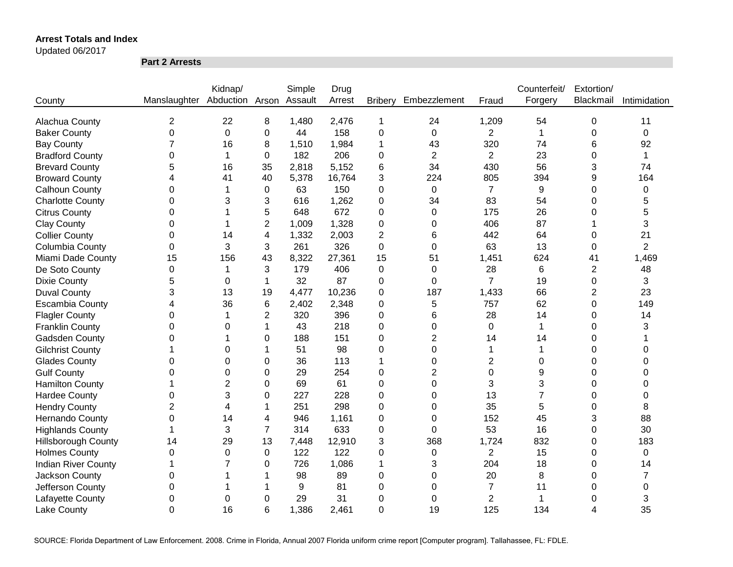Updated 06/2017

**Part 2 Arrests**

|                            |                              | Kidnap/        |                | Simple  | Drug   |                |                |                | Counterfeit/   | Extortion/     |                |
|----------------------------|------------------------------|----------------|----------------|---------|--------|----------------|----------------|----------------|----------------|----------------|----------------|
| County                     | Manslaughter Abduction Arson |                |                | Assault | Arrest | <b>Bribery</b> | Embezzlement   | Fraud          | Forgery        | Blackmail      | Intimidation   |
|                            |                              |                |                |         |        |                |                |                |                |                |                |
| Alachua County             | 2                            | 22             | 8              | 1,480   | 2,476  | 1              | 24             | 1,209          | 54             | 0              | 11             |
| <b>Baker County</b>        | 0                            | $\overline{0}$ | 0              | 44      | 158    | $\mathbf 0$    | 0              | $\overline{2}$ | $\mathbf{1}$   | 0              | 0              |
| <b>Bay County</b>          | $\overline{7}$               | 16             | 8              | 1,510   | 1,984  | 1              | 43             | 320            | 74             | 6              | 92             |
| <b>Bradford County</b>     | 0                            | 1              | 0              | 182     | 206    | 0              | $\overline{2}$ | $\overline{2}$ | 23             | 0              | $\mathbf{1}$   |
| <b>Brevard County</b>      | 5                            | 16             | 35             | 2,818   | 5,152  | 6              | 34             | 430            | 56             | 3              | 74             |
| <b>Broward County</b>      | 4                            | 41             | 40             | 5,378   | 16,764 | 3              | 224            | 805            | 394            | 9              | 164            |
| <b>Calhoun County</b>      | 0                            |                | 0              | 63      | 150    | 0              | 0              | $\overline{7}$ | 9              | 0              | 0              |
| <b>Charlotte County</b>    | 0                            | 3              | 3              | 616     | 1,262  | 0              | 34             | 83             | 54             | $\Omega$       | 5              |
| <b>Citrus County</b>       | 0                            |                | 5              | 648     | 672    | 0              | 0              | 175            | 26             | 0              | 5              |
| <b>Clay County</b>         | 0                            |                | $\overline{2}$ | 1,009   | 1,328  | 0              | 0              | 406            | 87             |                | 3              |
| <b>Collier County</b>      | 0                            | 14             | 4              | 1,332   | 2,003  | 2              | 6              | 442            | 64             | 0              | 21             |
| Columbia County            | 0                            | 3              | 3              | 261     | 326    | 0              | 0              | 63             | 13             | 0              | $\overline{2}$ |
| Miami Dade County          | 15                           | 156            | 43             | 8,322   | 27,361 | 15             | 51             | 1,451          | 624            | 41             | 1,469          |
| De Soto County             | $\pmb{0}$                    | 1              | 3              | 179     | 406    | 0              | $\Omega$       | 28             | 6              | $\overline{2}$ | 48             |
| <b>Dixie County</b>        | 5                            | 0              | 1              | 32      | 87     | 0              | $\Omega$       | $\overline{7}$ | 19             | 0              | 3              |
| <b>Duval County</b>        | 3                            | 13             | 19             | 4,477   | 10,236 | 0              | 187            | 1,433          | 66             | $\overline{c}$ | 23             |
| <b>Escambia County</b>     | 4                            | 36             | 6              | 2,402   | 2,348  | 0              | 5              | 757            | 62             | 0              | 149            |
| <b>Flagler County</b>      | 0                            | 1              | 2              | 320     | 396    | 0              | 6              | 28             | 14             | 0              | 14             |
| <b>Franklin County</b>     | 0                            | $\Omega$       | 1              | 43      | 218    | $\overline{0}$ | $\Omega$       | $\mathbf 0$    | 1              | $\Omega$       | 3              |
| Gadsden County             | 0                            |                | 0              | 188     | 151    | 0              | $\overline{2}$ | 14             | 14             | $\Omega$       |                |
| <b>Gilchrist County</b>    |                              | $\Omega$       | 1              | 51      | 98     | $\Omega$       | $\Omega$       | 1              | 1              | $\Omega$       | $\Omega$       |
| <b>Glades County</b>       | 0                            | 0              | 0              | 36      | 113    | 1              | $\Omega$       | 2              | $\Omega$       | 0              | $\Omega$       |
| <b>Gulf County</b>         | 0                            | 0              | 0              | 29      | 254    | 0              | 2              | 0              | 9              | 0              | 0              |
| <b>Hamilton County</b>     | 1                            | 2              | 0              | 69      | 61     | 0              | $\Omega$       | 3              | 3              | 0              | 0              |
| <b>Hardee County</b>       | 0                            | 3              | 0              | 227     | 228    | 0              | 0              | 13             | $\overline{7}$ | 0              | 0              |
| <b>Hendry County</b>       | $\overline{2}$               | 4              |                | 251     | 298    | 0              | 0              | 35             | 5              | 0              | 8              |
| <b>Hernando County</b>     | 0                            | 14             | 4              | 946     | 1,161  | 0              | 0              | 152            | 45             | 3              | 88             |
| <b>Highlands County</b>    | 1                            | 3              | $\overline{7}$ | 314     | 633    | 0              | 0              | 53             | 16             | 0              | 30             |
| <b>Hillsborough County</b> | 14                           | 29             | 13             | 7,448   | 12,910 | 3              | 368            | 1,724          | 832            | 0              | 183            |
| <b>Holmes County</b>       | 0                            | $\Omega$       | 0              | 122     | 122    | 0              | 0              | $\overline{2}$ | 15             | 0              | 0              |
| <b>Indian River County</b> |                              |                | 0              | 726     | 1,086  | 1              | 3              | 204            | 18             | 0              | 14             |
| Jackson County             | 0                            |                |                | 98      | 89     | $\mathbf 0$    | 0              | 20             | 8              | 0              | $\overline{7}$ |
| Jefferson County           | 0                            |                |                | 9       | 81     | 0              | 0              | $\overline{7}$ | 11             | 0              | 0              |
| Lafayette County           | 0                            | 0              | 0              | 29      | 31     | 0              | 0              | $\overline{2}$ | 1              | 0              | 3              |
| <b>Lake County</b>         | 0                            | 16             | 6              | 1,386   | 2,461  | $\overline{0}$ | 19             | 125            | 134            | 4              | 35             |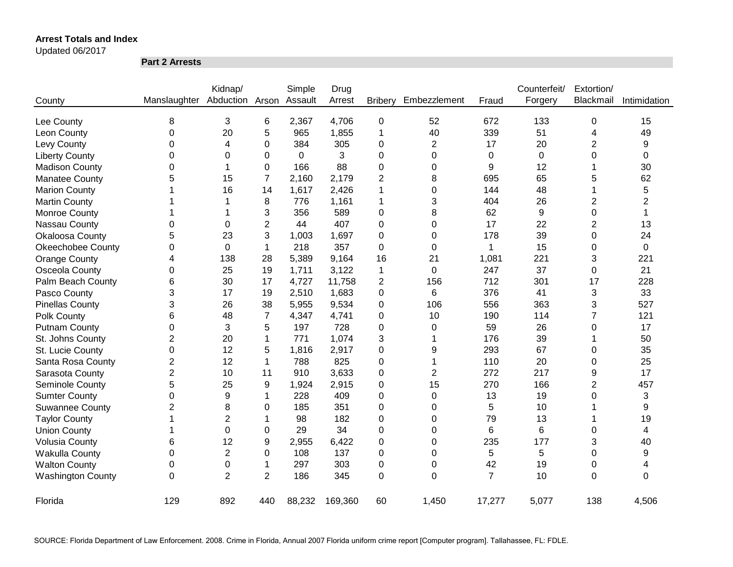Updated 06/2017

**Part 2 Arrests**

|                          |                | Kidnap/        |                | Simple  | Drug    |                |                |        | Counterfeit/ | Extortion/     |                |
|--------------------------|----------------|----------------|----------------|---------|---------|----------------|----------------|--------|--------------|----------------|----------------|
| County                   | Manslaughter   | Abduction      | Arson          | Assault | Arrest  | <b>Bribery</b> | Embezzlement   | Fraud  | Forgery      | Blackmail      | Intimidation   |
| Lee County               | 8              | 3              | 6              | 2,367   | 4,706   | 0              | 52             | 672    | 133          | 0              | 15             |
| Leon County              | 0              | 20             | 5              | 965     | 1,855   | 1              | 40             | 339    | 51           | 4              | 49             |
| Levy County              | 0              | 4              | 0              | 384     | 305     | 0              | $\overline{2}$ | 17     | 20           | 2              | 9              |
| <b>Liberty County</b>    | 0              | 0              | 0              | 0       | 3       | 0              | 0              | 0      | 0            | 0              | 0              |
| <b>Madison County</b>    | 0              | 1              | 0              | 166     | 88      | 0              | 0              | 9      | 12           |                | 30             |
| <b>Manatee County</b>    | 5              | 15             | $\overline{7}$ | 2,160   | 2,179   | 2              | 8              | 695    | 65           | 5              | 62             |
| <b>Marion County</b>     |                | 16             | 14             | 1,617   | 2,426   | 1              | 0              | 144    | 48           |                | 5              |
| <b>Martin County</b>     |                |                | 8              | 776     | 1,161   | 1              | 3              | 404    | 26           | 2              | $\overline{2}$ |
| Monroe County            |                |                | 3              | 356     | 589     | 0              | 8              | 62     | 9            | 0              | 1              |
| Nassau County            | 0              | 0              | 2              | 44      | 407     | 0              | 0              | 17     | 22           | 2              | 13             |
| Okaloosa County          | 5              | 23             | 3              | 1,003   | 1,697   | 0              | 0              | 178    | 39           | 0              | 24             |
| <b>Okeechobee County</b> | 0              | 0              | 1              | 218     | 357     | 0              | 0              | 1      | 15           | 0              | 0              |
| <b>Orange County</b>     | 4              | 138            | 28             | 5,389   | 9,164   | 16             | 21             | 1,081  | 221          | 3              | 221            |
| Osceola County           | 0              | 25             | 19             | 1,711   | 3,122   | 1              | $\mathbf 0$    | 247    | 37           | 0              | 21             |
| Palm Beach County        | 6              | 30             | 17             | 4,727   | 11,758  | $\overline{2}$ | 156            | 712    | 301          | 17             | 228            |
| Pasco County             | 3              | 17             | 19             | 2,510   | 1,683   | 0              | 6              | 376    | 41           | 3              | 33             |
| <b>Pinellas County</b>   | 3              | 26             | 38             | 5,955   | 9,534   | 0              | 106            | 556    | 363          | 3              | 527            |
| Polk County              | 6              | 48             | $\overline{7}$ | 4,347   | 4,741   | 0              | 10             | 190    | 114          | 7              | 121            |
| <b>Putnam County</b>     | 0              | 3              | 5              | 197     | 728     | 0              | 0              | 59     | 26           | 0              | 17             |
| St. Johns County         | $\overline{2}$ | 20             | 1              | 771     | 1,074   | 3              | -1             | 176    | 39           | 1              | 50             |
| St. Lucie County         | 0              | 12             | 5              | 1,816   | 2,917   | 0              | 9              | 293    | 67           | 0              | 35             |
| Santa Rosa County        | $\overline{2}$ | 12             | 1              | 788     | 825     | 0              | 1              | 110    | 20           | 0              | 25             |
| Sarasota County          | $\overline{2}$ | 10             | 11             | 910     | 3,633   | 0              | $\overline{2}$ | 272    | 217          | 9              | 17             |
| Seminole County          | 5              | 25             | 9              | 1,924   | 2,915   | 0              | 15             | 270    | 166          | $\overline{c}$ | 457            |
| <b>Sumter County</b>     | 0              | 9              | 1              | 228     | 409     | 0              | 0              | 13     | 19           | 0              | 3              |
| <b>Suwannee County</b>   | $\overline{2}$ | 8              | 0              | 185     | 351     | 0              | 0              | 5      | 10           |                | 9              |
| <b>Taylor County</b>     | 1              | $\overline{2}$ | 1              | 98      | 182     | 0              | 0              | 79     | 13           |                | 19             |
| <b>Union County</b>      |                | 0              | 0              | 29      | 34      | 0              | 0              | 6      | 6            | 0              | 4              |
| <b>Volusia County</b>    | 6              | 12             | 9              | 2,955   | 6,422   | 0              | $\Omega$       | 235    | 177          | 3              | 40             |
| <b>Wakulla County</b>    | 0              | $\overline{2}$ | 0              | 108     | 137     | 0              | $\Omega$       | 5      | 5            | 0              | 9              |
| <b>Walton County</b>     | 0              | 0              | 1              | 297     | 303     | 0              | $\Omega$       | 42     | 19           | 0              | 4              |
| <b>Washington County</b> | 0              | $\overline{2}$ | 2              | 186     | 345     | 0              | $\Omega$       | 7      | 10           | $\Omega$       | 0              |
| Florida                  | 129            | 892            | 440            | 88,232  | 169,360 | 60             | 1,450          | 17,277 | 5,077        | 138            | 4,506          |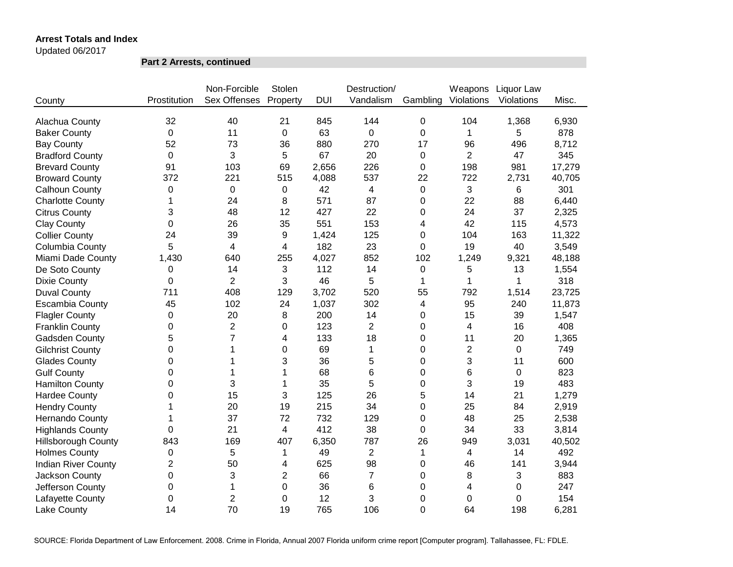Updated 06/2017

**Part 2 Arrests, continued**

|                            |              | Non-Forcible        | Stolen                  |            | Destruction/   |                | Weapons                 | Liquor Law  |        |
|----------------------------|--------------|---------------------|-------------------------|------------|----------------|----------------|-------------------------|-------------|--------|
| County                     | Prostitution | <b>Sex Offenses</b> | Property                | <b>DUI</b> | Vandalism      | Gambling       | Violations              | Violations  | Misc.  |
| Alachua County             | 32           | 40                  | 21                      | 845        | 144            | $\mathbf 0$    | 104                     | 1,368       | 6,930  |
| <b>Baker County</b>        | 0            | 11                  | 0                       | 63         | $\Omega$       | 0              | 1                       | 5           | 878    |
| <b>Bay County</b>          | 52           | 73                  | 36                      | 880        | 270            | 17             | 96                      | 496         | 8,712  |
| <b>Bradford County</b>     | 0            | 3                   | 5                       | 67         | 20             | 0              | $\overline{2}$          | 47          | 345    |
| <b>Brevard County</b>      | 91           | 103                 | 69                      | 2,656      | 226            | 0              | 198                     | 981         | 17,279 |
| <b>Broward County</b>      | 372          | 221                 | 515                     | 4,088      | 537            | 22             | 722                     | 2,731       | 40,705 |
| Calhoun County             | 0            | $\Omega$            | 0                       | 42         | 4              | 0              | 3                       | 6           | 301    |
| <b>Charlotte County</b>    | 1            | 24                  | 8                       | 571        | 87             | 0              | 22                      | 88          | 6,440  |
| <b>Citrus County</b>       | 3            | 48                  | 12                      | 427        | 22             | 0              | 24                      | 37          | 2,325  |
| <b>Clay County</b>         | 0            | 26                  | 35                      | 551        | 153            | 4              | 42                      | 115         | 4,573  |
| <b>Collier County</b>      | 24           | 39                  | 9                       | 1,424      | 125            | 0              | 104                     | 163         | 11,322 |
| Columbia County            | 5            | 4                   | 4                       | 182        | 23             | 0              | 19                      | 40          | 3,549  |
| Miami Dade County          | 1,430        | 640                 | 255                     | 4,027      | 852            | 102            | 1,249                   | 9,321       | 48,188 |
| De Soto County             | 0            | 14                  | 3                       | 112        | 14             | 0              | 5                       | 13          | 1,554  |
| <b>Dixie County</b>        | 0            | $\overline{2}$      | 3                       | 46         | 5              | 1              | 1                       | 1           | 318    |
| <b>Duval County</b>        | 711          | 408                 | 129                     | 3,702      | 520            | 55             | 792                     | 1,514       | 23,725 |
| <b>Escambia County</b>     | 45           | 102                 | 24                      | 1,037      | 302            | 4              | 95                      | 240         | 11,873 |
| <b>Flagler County</b>      | 0            | 20                  | 8                       | 200        | 14             | 0              | 15                      | 39          | 1,547  |
| <b>Franklin County</b>     | 0            | $\overline{2}$      | 0                       | 123        | $\overline{2}$ | 0              | 4                       | 16          | 408    |
| Gadsden County             | 5            | $\overline{7}$      | 4                       | 133        | 18             | 0              | 11                      | 20          | 1,365  |
| <b>Gilchrist County</b>    | $\Omega$     | 1                   | $\mathbf 0$             | 69         | $\mathbf{1}$   | 0              | $\overline{2}$          | $\mathbf 0$ | 749    |
| <b>Glades County</b>       | 0            | 1                   | 3                       | 36         | 5              | 0              | 3                       | 11          | 600    |
| <b>Gulf County</b>         | 0            | 1                   | 1                       | 68         | 6              | 0              | 6                       | $\mathbf 0$ | 823    |
| <b>Hamilton County</b>     | 0            | 3                   | 1                       | 35         | 5              | 0              | 3                       | 19          | 483    |
| <b>Hardee County</b>       | 0            | 15                  | 3                       | 125        | 26             | 5              | 14                      | 21          | 1,279  |
| <b>Hendry County</b>       | 1            | 20                  | 19                      | 215        | 34             | 0              | 25                      | 84          | 2,919  |
| Hernando County            | 1            | 37                  | 72                      | 732        | 129            | 0              | 48                      | 25          | 2,538  |
| <b>Highlands County</b>    | 0            | 21                  | $\overline{\mathbf{4}}$ | 412        | 38             | 0              | 34                      | 33          | 3,814  |
| <b>Hillsborough County</b> | 843          | 169                 | 407                     | 6,350      | 787            | 26             | 949                     | 3,031       | 40,502 |
| <b>Holmes County</b>       | $\pmb{0}$    | 5                   | 1                       | 49         | $\overline{2}$ | 1              | $\overline{\mathbf{4}}$ | 14          | 492    |
| <b>Indian River County</b> | 2            | 50                  | 4                       | 625        | 98             | 0              | 46                      | 141         | 3,944  |
| Jackson County             | 0            | 3                   | $\overline{2}$          | 66         | $\overline{7}$ | 0              | 8                       | 3           | 883    |
| Jefferson County           | 0            | 1                   | 0                       | 36         | 6              | 0              | 4                       | 0           | 247    |
| Lafayette County           | 0            | $\overline{2}$      | 0                       | 12         | 3              | 0              | 0                       | $\mathbf 0$ | 154    |
| <b>Lake County</b>         | 14           | 70                  | 19                      | 765        | 106            | $\overline{0}$ | 64                      | 198         | 6,281  |